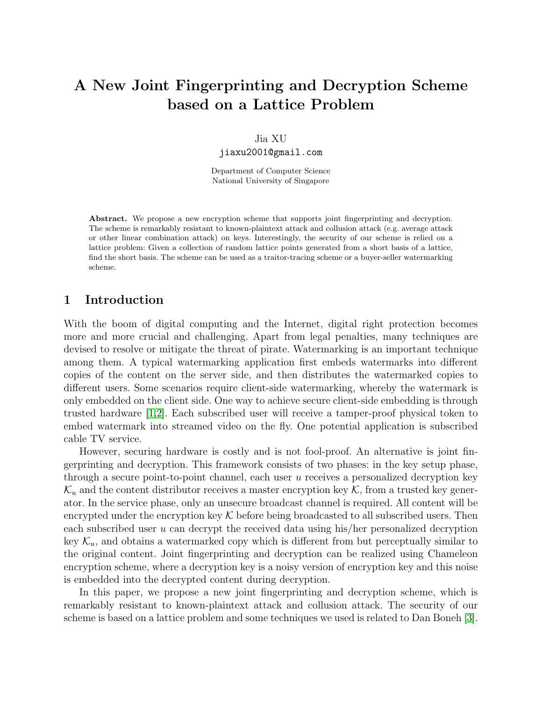# A New Joint Fingerprinting and Decryption Scheme based on a Lattice Problem

#### Jia XU

jiaxu2001@gmail.com

Department of Computer Science National University of Singapore

Abstract. We propose a new encryption scheme that supports joint fingerprinting and decryption. The scheme is remarkably resistant to known-plaintext attack and collusion attack (e.g. average attack or other linear combination attack) on keys. Interestingly, the security of our scheme is relied on a lattice problem: Given a collection of random lattice points generated from a short basis of a lattice, find the short basis. The scheme can be used as a traitor-tracing scheme or a buyer-seller watermarking scheme.

### 1 Introduction

With the boom of digital computing and the Internet, digital right protection becomes more and more crucial and challenging. Apart from legal penalties, many techniques are devised to resolve or mitigate the threat of pirate. Watermarking is an important technique among them. A typical watermarking application first embeds watermarks into different copies of the content on the server side, and then distributes the watermarked copies to different users. Some scenarios require client-side watermarking, whereby the watermark is only embedded on the client side. One way to achieve secure client-side embedding is through trusted hardware [\[1,](#page-8-0)[2\]](#page-8-1). Each subscribed user will receive a tamper-proof physical token to embed watermark into streamed video on the fly. One potential application is subscribed cable TV service.

However, securing hardware is costly and is not fool-proof. An alternative is joint fingerprinting and decryption. This framework consists of two phases: in the key setup phase, through a secure point-to-point channel, each user  $u$  receives a personalized decryption key  $\mathcal{K}_u$  and the content distributor receives a master encryption key  $\mathcal{K}$ , from a trusted key generator. In the service phase, only an unsecure broadcast channel is required. All content will be encrypted under the encryption key  $\mathcal K$  before being broadcasted to all subscribed users. Then each subscribed user u can decrypt the received data using his/her personalized decryption key  $\mathcal{K}_u$ , and obtains a watermarked copy which is different from but perceptually similar to the original content. Joint fingerprinting and decryption can be realized using Chameleon encryption scheme, where a decryption key is a noisy version of encryption key and this noise is embedded into the decrypted content during decryption.

In this paper, we propose a new joint fingerprinting and decryption scheme, which is remarkably resistant to known-plaintext attack and collusion attack. The security of our scheme is based on a lattice problem and some techniques we used is related to Dan Boneh [\[3\]](#page-8-2).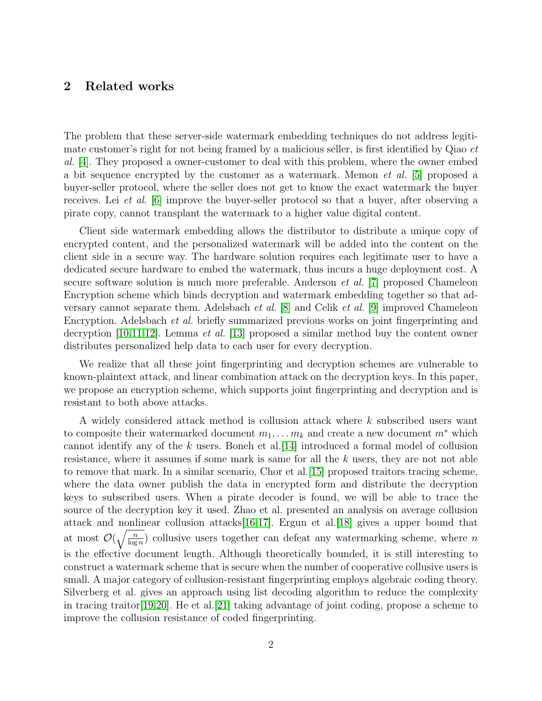## 2 Related works

The problem that these server-side watermark embedding techniques do not address legitimate customer's right for not being framed by a malicious seller, is first identified by Qiao *et* al. [\[4\]](#page-8-3). They proposed a owner-customer to deal with this problem, where the owner embed a bit sequence encrypted by the customer as a watermark. Memon et al. [\[5\]](#page-8-4) proposed a buyer-seller protocol, where the seller does not get to know the exact watermark the buyer receives. Lei et al. [\[6\]](#page-9-0) improve the buyer-seller protocol so that a buyer, after observing a pirate copy, cannot transplant the watermark to a higher value digital content.

Client side watermark embedding allows the distributor to distribute a unique copy of encrypted content, and the personalized watermark will be added into the content on the client side in a secure way. The hardware solution requires each legitimate user to have a dedicated secure hardware to embed the watermark, thus incurs a huge deployment cost. A secure software solution is much more preferable. Anderson et al. [\[7\]](#page-9-1) proposed Chameleon Encryption scheme which binds decryption and watermark embedding together so that adversary cannot separate them. Adelsbach et al. [\[8\]](#page-9-2) and Celik et al. [\[9\]](#page-9-3) improved Chameleon Encryption. Adelsbach et al. briefly summarized previous works on joint fingerprinting and decryption  $[10,11,12]$  $[10,11,12]$  $[10,11,12]$ . Lemma *et al.* [\[13\]](#page-9-7) proposed a similar method buy the content owner distributes personalized help data to each user for every decryption.

We realize that all these joint fingerprinting and decryption schemes are vulnerable to known-plaintext attack, and linear combination attack on the decryption keys. In this paper, we propose an encryption scheme, which supports joint fingerprinting and decryption and is resistant to both above attacks.

A widely considered attack method is collusion attack where k subscribed users want to composite their watermarked document  $m_1, \ldots, m_k$  and create a new document  $m^*$  which cannot identify any of the k users. Boneh et al.  $|14|$  introduced a formal model of collusion resistance, where it assumes if some mark is same for all the k users, they are not not able to remove that mark. In a similar scenario, Chor et al.[\[15\]](#page-9-9) proposed traitors tracing scheme, where the data owner publish the data in encrypted form and distribute the decryption keys to subscribed users. When a pirate decoder is found, we will be able to trace the source of the decryption key it used. Zhao et al. presented an analysis on average collusion attack and nonlinear collusion attacks[\[16,](#page-9-10)[17\]](#page-9-11). Ergun et al.[\[18\]](#page-9-12) gives a upper bound that at most  $\mathcal{O}(\sqrt{\frac{n}{\log n}})$  collusive users together can defeat any watermarking scheme, where n is the effective document length. Although theoretically bounded, it is still interesting to construct a watermark scheme that is secure when the number of cooperative collusive users is small. A major category of collusion-resistant fingerprinting employs algebraic coding theory. Silverberg et al. gives an approach using list decoding algorithm to reduce the complexity in tracing traitor[\[19,](#page-9-13)[20\]](#page-9-14). He et al.[\[21\]](#page-9-15) taking advantage of joint coding, propose a scheme to improve the collusion resistance of coded fingerprinting.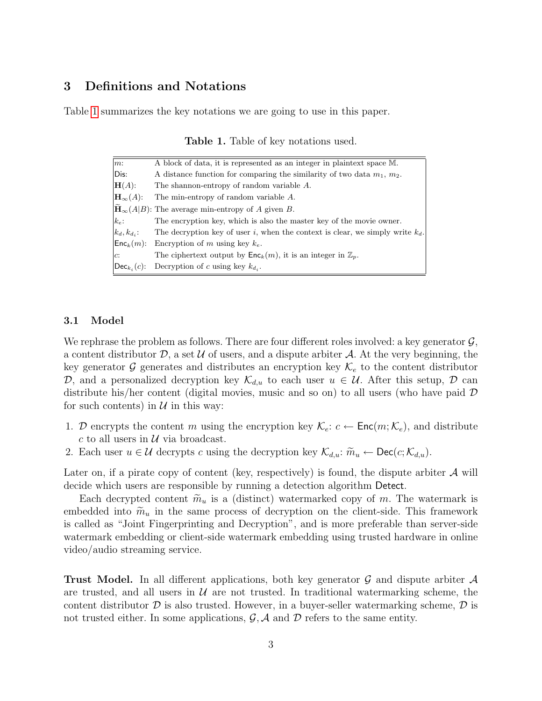## 3 Definitions and Notations

Table [1](#page-2-0) summarizes the key notations we are going to use in this paper.

| $m$ :                             | A block of data, it is represented as an integer in plaintext space M.              |
|-----------------------------------|-------------------------------------------------------------------------------------|
| Dis:                              | A distance function for comparing the similarity of two data $m_1$ , $m_2$ .        |
| $H(A)$ :                          | The shannon-entropy of random variable A.                                           |
| $\mathbf{H}_{\infty}(A)$ :        | The min-entropy of random variable A.                                               |
|                                   | $\mathbf{H}_{\infty}(A B)$ : The average min-entropy of A given B.                  |
| $k_e$ :                           | The encryption key, which is also the master key of the movie owner.                |
| $\vert k_d,k_{d_i}$ :             | The decryption key of user i, when the context is clear, we simply write $k_d$ .    |
| $\mathsf{Enc}_k(m)$ :             | Encryption of m using key $k_e$ .                                                   |
| $\overline{c}$ :                  | The ciphertext output by $\mathsf{Enc}_k(m)$ , it is an integer in $\mathbb{Z}_p$ . |
| $\left {\sf Dec}_{k_i}(c)\right $ | Decryption of c using key $k_{d_i}$ .                                               |

<span id="page-2-0"></span>Table 1. Table of key notations used.

#### 3.1 Model

We rephrase the problem as follows. There are four different roles involved: a key generator  $\mathcal{G}$ , a content distributor  $D$ , a set  $U$  of users, and a dispute arbiter  $A$ . At the very beginning, the key generator G generates and distributes an encryption key  $\mathcal{K}_e$  to the content distributor D, and a personalized decryption key  $\mathcal{K}_{d,u}$  to each user  $u \in \mathcal{U}$ . After this setup, D can distribute his/her content (digital movies, music and so on) to all users (who have paid D for such contents) in  $\mathcal U$  in this way:

- 1. D encrypts the content m using the encryption key  $\mathcal{K}_e$ :  $c \leftarrow \text{Enc}(m; \mathcal{K}_e)$ , and distribute c to all users in  $\mathcal U$  via broadcast.
- 2. Each user  $u \in \mathcal{U}$  decrypts c using the decryption key  $\mathcal{K}_{d,u}$ :  $\widetilde{m}_u \leftarrow \text{Dec}(c; \mathcal{K}_{d,u})$ .

Later on, if a pirate copy of content (key, respectively) is found, the dispute arbiter  $\mathcal A$  will decide which users are responsible by running a detection algorithm Detect.

Each decrypted content  $\tilde{m}_u$  is a (distinct) watermarked copy of m. The watermark is embedded into  $\widetilde{m}_u$  in the same process of decryption on the client-side. This framework is called as "Joint Fingerprinting and Decryption", and is more preferable than server-side watermark embedding or client-side watermark embedding using trusted hardware in online video/audio streaming service.

**Trust Model.** In all different applications, both key generator  $\mathcal{G}$  and dispute arbiter  $\mathcal{A}$ are trusted, and all users in  $\mathcal U$  are not trusted. In traditional watermarking scheme, the content distributor  $\mathcal D$  is also trusted. However, in a buyer-seller watermarking scheme,  $\mathcal D$  is not trusted either. In some applications,  $\mathcal{G}, \mathcal{A}$  and  $\mathcal{D}$  refers to the same entity.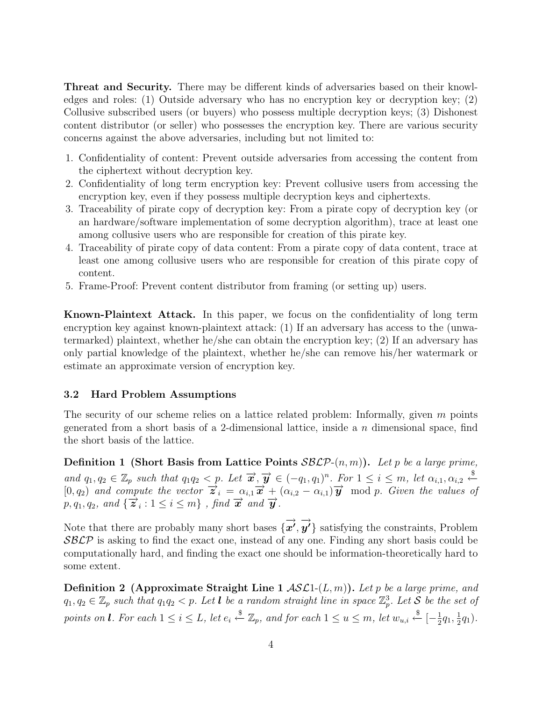Threat and Security. There may be different kinds of adversaries based on their knowledges and roles: (1) Outside adversary who has no encryption key or decryption key; (2) Collusive subscribed users (or buyers) who possess multiple decryption keys; (3) Dishonest content distributor (or seller) who possesses the encryption key. There are various security concerns against the above adversaries, including but not limited to:

- 1. Confidentiality of content: Prevent outside adversaries from accessing the content from the ciphertext without decryption key.
- 2. Confidentiality of long term encryption key: Prevent collusive users from accessing the encryption key, even if they possess multiple decryption keys and ciphertexts.
- 3. Traceability of pirate copy of decryption key: From a pirate copy of decryption key (or an hardware/software implementation of some decryption algorithm), trace at least one among collusive users who are responsible for creation of this pirate key.
- 4. Traceability of pirate copy of data content: From a pirate copy of data content, trace at least one among collusive users who are responsible for creation of this pirate copy of content.
- 5. Frame-Proof: Prevent content distributor from framing (or setting up) users.

Known-Plaintext Attack. In this paper, we focus on the confidentiality of long term encryption key against known-plaintext attack: (1) If an adversary has access to the (unwatermarked) plaintext, whether he/she can obtain the encryption key; (2) If an adversary has only partial knowledge of the plaintext, whether he/she can remove his/her watermark or estimate an approximate version of encryption key.

#### 3.2 Hard Problem Assumptions

The security of our scheme relies on a lattice related problem: Informally, given m points generated from a short basis of a 2-dimensional lattice, inside a n dimensional space, find the short basis of the lattice.

**Definition 1 (Short Basis from Lattice Points SBLP-** $(n, m)$ ). Let p be a large prime, and  $q_1, q_2 \in \mathbb{Z}_p$  such that  $q_1q_2 < p$ . Let  $\vec{x}, \vec{y} \in (-q_1, q_1)^n$ . For  $1 \leq i \leq m$ , let  $\alpha_{i,1}, \alpha_{i,2} \stackrel{\$}{\leftarrow}$  $[0, q_2)$  and compute the vector  $\vec{z}_i = \alpha_{i,1}\vec{x} + (\alpha_{i,2} - \alpha_{i,1})\vec{y} \mod p$ . Given the values of  $p, q_1, q_2, \text{ and } \{\overrightarrow{z}_i: 1 \leq i \leq m\}$ , find  $\overrightarrow{x}$  and  $\overrightarrow{y}$ .

Note that there are probably many short bases  $\{\overrightarrow{x'}, \overrightarrow{y'}\}$  satisfying the constraints, Problem SBLP is asking to find the exact one, instead of any one. Finding any short basis could be computationally hard, and finding the exact one should be information-theoretically hard to some extent.

**Definition 2** (Approximate Straight Line 1  $ASL1-(L,m)$ ). Let p be a large prime, and  $q_1, q_2 \in \mathbb{Z}_p$  such that  $q_1q_2 < p$ . Let **l** be a random straight line in space  $\mathbb{Z}_p^3$ . Let S be the set of points on **l**. For each  $1 \leq i \leq L$ , let  $e_i \overset{\$}{\leftarrow} \mathbb{Z}_p$ , and for each  $1 \leq u \leq m$ , let  $w_{u,i} \overset{\$}{\leftarrow} [-\frac{1}{2}]$  $\frac{1}{2}q_1, \frac{1}{2}$  $(\frac{1}{2}q_1).$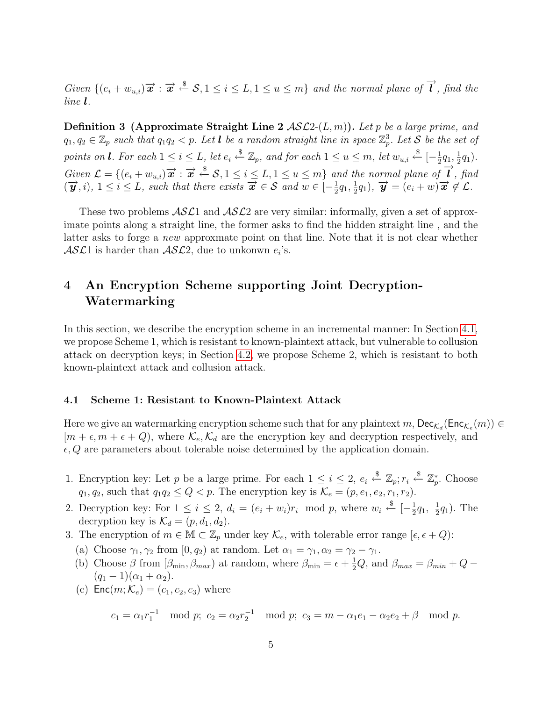Given  $\{(e_i+w_{u,i})\vec{x}:\vec{x}\stackrel{\$}{\leftarrow}\mathcal{S}, 1\leq i\leq L, 1\leq u\leq m\}$  and the normal plane of  $\vec{l}$ , find the line l.

**Definition 3** (Approximate Straight Line 2  $ASL2-(L, m)$ ). Let p be a large prime, and  $q_1, q_2 \in \mathbb{Z}_p$  such that  $q_1q_2 < p$ . Let **l** be a random straight line in space  $\mathbb{Z}_p^3$ . Let S be the set of points on **l**. For each  $1 \leq i \leq L$ , let  $e_i \stackrel{\$}{\leftarrow} \mathbb{Z}_p$ , and for each  $1 \leq u \leq m$ , let  $w_{u,i} \stackrel{\$}{\leftarrow} [-\frac{1}{2}]$  $\frac{1}{2}q_1, \frac{1}{2}$  $(\frac{1}{2}q_1).$  $Given \mathcal{L} = \{(e_i + w_{u,i})\overrightarrow{x} : \overrightarrow{x} \stackrel{\$}{\leftarrow} \mathcal{S}, 1 \leq i \leq L, 1 \leq u \leq m\}$  and the normal plane of  $\overrightarrow{l}$ , find  $(\vec{y}, i)$ ,  $1 \leq i \leq L$ , such that there exists  $\vec{x} \in S$  and  $w \in [-\frac{1}{2}]$  $\frac{1}{2}q_1, \frac{1}{2}$  $\frac{1}{2}q_1$ ,  $\overrightarrow{\boldsymbol{y}} = (e_i + w)\overrightarrow{\boldsymbol{x}} \notin \mathcal{L}$ .

These two problems  $\mathcal{ASL}1$  and  $\mathcal{ASL}2$  are very similar: informally, given a set of approximate points along a straight line, the former asks to find the hidden straight line , and the latter asks to forge a new approxmate point on that line. Note that it is not clear whether  $\mathcal{ASL}1$  is harder than  $\mathcal{ASL}2$ , due to unkonwn  $e_i$ 's.

## 4 An Encryption Scheme supporting Joint Decryption-Watermarking

In this section, we describe the encryption scheme in an incremental manner: In Section [4.1,](#page-4-0) we propose Scheme 1, which is resistant to known-plaintext attack, but vulnerable to collusion attack on decryption keys; in Section [4.2,](#page-6-0) we propose Scheme 2, which is resistant to both known-plaintext attack and collusion attack.

#### <span id="page-4-0"></span>4.1 Scheme 1: Resistant to Known-Plaintext Attack

Here we give an watermarking encryption scheme such that for any plaintext  $m$ ,  $\textsf{Dec}_{\mathcal{K}_d}(\textsf{Enc}_{\mathcal{K}_e}(m)) \in$  $[m + \epsilon, m + \epsilon + Q)$ , where  $\mathcal{K}_e, \mathcal{K}_d$  are the encryption key and decryption respectively, and  $\epsilon, Q$  are parameters about tolerable noise determined by the application domain.

- 1. Encryption key: Let p be a large prime. For each  $1 \leq i \leq 2$ ,  $e_i \stackrel{\$}{\leftarrow} \mathbb{Z}_p$ ;  $r_i \stackrel{\$}{\leftarrow} \mathbb{Z}_p^*$ . Choose  $q_1, q_2$ , such that  $q_1q_2 \leq Q < p$ . The encryption key is  $\mathcal{K}_e = (p, e_1, e_2, r_1, r_2)$ .
- 2. Decryption key: For  $1 \leq i \leq 2$ ,  $d_i = (e_i + w_i)r_i \mod p$ , where  $w_i \stackrel{\$}{\leftarrow} [-\frac{1}{2}]$  $\frac{1}{2}q_1, \frac{1}{2}$  $\frac{1}{2}q_1$ ). The decryption key is  $\mathcal{K}_d = (p, d_1, d_2)$ .
- 3. The encryption of  $m \in \mathbb{M} \subset \mathbb{Z}_p$  under key  $\mathcal{K}_e$ , with tolerable error range  $[\epsilon, \epsilon + Q)$ :
	- (a) Choose  $\gamma_1, \gamma_2$  from  $[0, q_2)$  at random. Let  $\alpha_1 = \gamma_1, \alpha_2 = \gamma_2 \gamma_1$ .
	- (b) Choose  $\beta$  from  $[\beta_{\min}, \beta_{max})$  at random, where  $\beta_{\min} = \epsilon + \frac{1}{2}Q$ , and  $\beta_{max} = \beta_{min} + Q$  $(q_1 - 1)(\alpha_1 + \alpha_2).$
	- (c)  $\textsf{Enc}(m; \mathcal{K}_e) = (c_1, c_2, c_3)$  where

 $c_1 = \alpha_1 r_1^{-1} \mod p$ ;  $c_2 = \alpha_2 r_2^{-1} \mod p$ ;  $c_3 = m - \alpha_1 e_1 - \alpha_2 e_2 + \beta \mod p$ .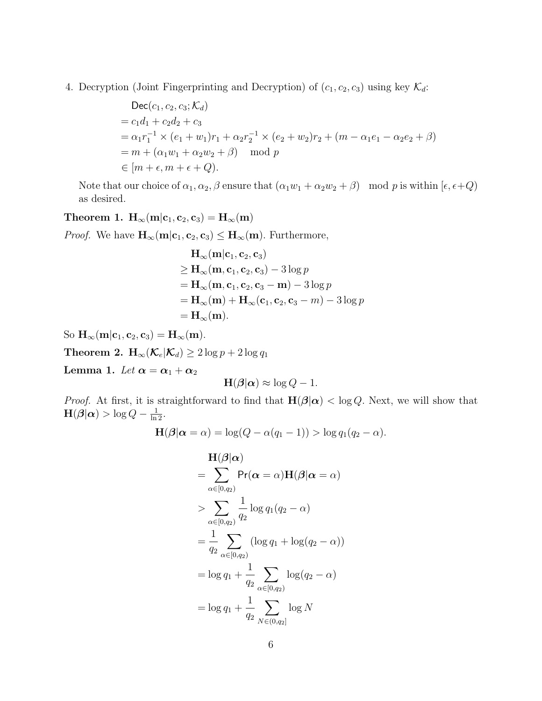4. Decryption (Joint Fingerprinting and Decryption) of  $(c_1, c_2, c_3)$  using key  $\mathcal{K}_d$ :

$$
\begin{aligned}\n\text{Dec}(c_1, c_2, c_3; \mathcal{K}_d) \\
&= c_1 d_1 + c_2 d_2 + c_3 \\
&= \alpha_1 r_1^{-1} \times (e_1 + w_1) r_1 + \alpha_2 r_2^{-1} \times (e_2 + w_2) r_2 + (m - \alpha_1 e_1 - \alpha_2 e_2 + \beta) \\
&= m + (\alpha_1 w_1 + \alpha_2 w_2 + \beta) \mod p \\
&\in [m + \epsilon, m + \epsilon + Q).\n\end{aligned}
$$

Note that our choice of  $\alpha_1, \alpha_2, \beta$  ensure that  $(\alpha_1 w_1 + \alpha_2 w_2 + \beta)$  mod p is within  $[\epsilon, \epsilon + Q]$ as desired.

## Theorem 1.  $H_{\infty}(m|c_1, c_2, c_3) = H_{\infty}(m)$

*Proof.* We have  $H_{\infty}(m|c_1, c_2, c_3) \leq H_{\infty}(m)$ . Furthermore,

$$
\mathbf{H}_{\infty}(\mathbf{m}|\mathbf{c}_1, \mathbf{c}_2, \mathbf{c}_3) \n\geq \mathbf{H}_{\infty}(\mathbf{m}, \mathbf{c}_1, \mathbf{c}_2, \mathbf{c}_3) - 3\log p \n= \mathbf{H}_{\infty}(\mathbf{m}, \mathbf{c}_1, \mathbf{c}_2, \mathbf{c}_3 - \mathbf{m}) - 3\log p \n= \mathbf{H}_{\infty}(\mathbf{m}) + \mathbf{H}_{\infty}(\mathbf{c}_1, \mathbf{c}_2, \mathbf{c}_3 - m) - 3\log p \n= \mathbf{H}_{\infty}(\mathbf{m}).
$$

So  $\mathbf{H}_{\infty}(\mathbf{m}|\mathbf{c}_1, \mathbf{c}_2, \mathbf{c}_3) = \mathbf{H}_{\infty}(\mathbf{m}).$ 

Theorem 2.  $\mathbf{H}_{\infty}(\mathcal{K}_e|\mathcal{K}_d) \geq 2 \log p + 2 \log q_1$ 

Lemma 1. Let  $\alpha = \alpha_1 + \alpha_2$ 

$$
\mathbf{H}(\boldsymbol{\beta}|\boldsymbol{\alpha}) \approx \log Q - 1.
$$

*Proof.* At first, it is straightforward to find that  $H(\beta|\alpha) < \log Q$ . Next, we will show that  $\mathbf{H}(\boldsymbol{\beta}|\boldsymbol{\alpha}) > \log Q - \frac{1}{\ln 2}.$ 

$$
\mathbf{H}(\boldsymbol{\beta}|\boldsymbol{\alpha}=\alpha)=\log(Q-\alpha(q_1-1))>\log q_1(q_2-\alpha).
$$

$$
\mathbf{H}(\boldsymbol{\beta}|\boldsymbol{\alpha})
$$
\n
$$
= \sum_{\alpha \in [0,q_2)} \Pr(\boldsymbol{\alpha} = \alpha) \mathbf{H}(\boldsymbol{\beta}|\boldsymbol{\alpha} = \alpha)
$$
\n
$$
> \sum_{\alpha \in [0,q_2)} \frac{1}{q_2} \log q_1(q_2 - \alpha)
$$
\n
$$
= \frac{1}{q_2} \sum_{\alpha \in [0,q_2)} (\log q_1 + \log(q_2 - \alpha))
$$
\n
$$
= \log q_1 + \frac{1}{q_2} \sum_{\alpha \in [0,q_2)} \log(q_2 - \alpha)
$$
\n
$$
= \log q_1 + \frac{1}{q_2} \sum_{N \in (0,q_2)} \log N
$$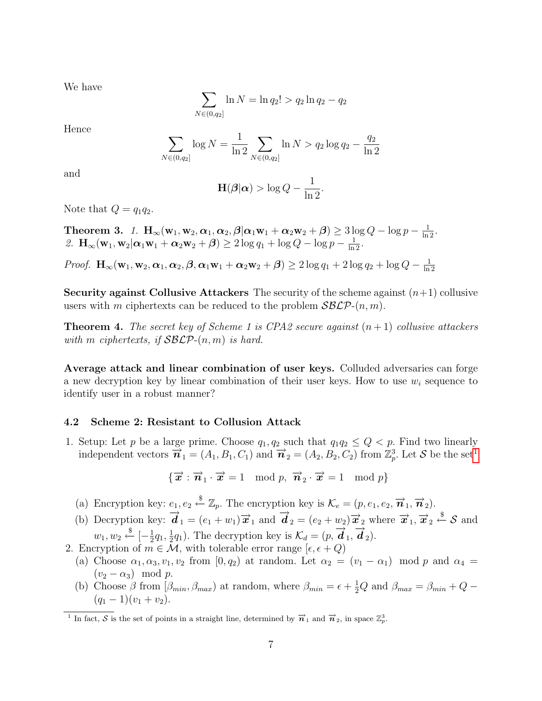We have

$$
\sum_{N \in (0,q_2]} \ln N = \ln q_2! > q_2 \ln q_2 - q_2
$$

Hence

$$
\sum_{N \in (0,q_2]} \log N = \frac{1}{\ln 2} \sum_{N \in (0,q_2]} \ln N > q_2 \log q_2 - \frac{q_2}{\ln 2}
$$

and

$$
\mathbf{H}(\boldsymbol{\beta}|\boldsymbol{\alpha}) > \log Q - \frac{1}{\ln 2}.
$$

Note that  $Q = q_1 q_2$ .

Theorem 3. 1.  $\mathbf{H}_{\infty}(\mathbf{w}_1, \mathbf{w}_2, \boldsymbol{\alpha}_1, \boldsymbol{\alpha}_2, \boldsymbol{\beta} | \boldsymbol{\alpha}_1 \mathbf{w}_1 + \boldsymbol{\alpha}_2 \mathbf{w}_2 + \boldsymbol{\beta}) \geq 3 \log Q - \log p - \frac{1}{\ln 2}$ . 2.  $\mathbf{H}_{\infty}(\mathbf{w}_1, \mathbf{w}_2 | \alpha_1 \mathbf{w}_1 + \alpha_2 \mathbf{w}_2 + \beta) \geq 2 \log q_1 + \log Q - \log p - \frac{1}{\ln 2}$ .

Proof.  $\mathbf{H}_{\infty}(\mathbf{w}_1, \mathbf{w}_2, \boldsymbol{\alpha}_1, \boldsymbol{\alpha}_2, \boldsymbol{\beta}, \boldsymbol{\alpha}_1\mathbf{w}_1 + \boldsymbol{\alpha}_2\mathbf{w}_2 + \boldsymbol{\beta}) \geq 2\log q_1 + 2\log q_2 + \log Q - \frac{1}{\ln q_1}$ ln 2

Security against Collusive Attackers The security of the scheme against  $(n+1)$  collusive users with m ciphertexts can be reduced to the problem  $\mathcal{SBCP}(n,m)$ .

**Theorem 4.** The secret key of Scheme 1 is CPA2 secure against  $(n+1)$  collusive attackers with m ciphertexts, if  $\mathcal{S}_{\mathcal{B}} \mathcal{L}_{\mathcal{P}}(n,m)$  is hard.

Average attack and linear combination of user keys. Colluded adversaries can forge a new decryption key by linear combination of their user keys. How to use  $w_i$  sequence to identify user in a robust manner?

#### <span id="page-6-0"></span>4.2 Scheme 2: Resistant to Collusion Attack

1. Setup: Let p be a large prime. Choose  $q_1, q_2$  such that  $q_1q_2 \leq Q < p$ . Find two linearly independent vectors  $\vec{n}_1 = (A_1, B_1, C_1)$  $\vec{n}_1 = (A_1, B_1, C_1)$  $\vec{n}_1 = (A_1, B_1, C_1)$  and  $\vec{n}_2 = (A_2, B_2, C_2)$  from  $\mathbb{Z}_p^3$ . Let S be the set<sup>1</sup>

$$
\{\overrightarrow{x} : \overrightarrow{n}_1 \cdot \overrightarrow{x} = 1 \mod p, \overrightarrow{n}_2 \cdot \overrightarrow{x} = 1 \mod p\}
$$

(a) Encryption key:  $e_1, e_2 \stackrel{\$}{\leftarrow} \mathbb{Z}_p$ . The encryption key is  $\mathcal{K}_e = (p, e_1, e_2, \vec{n}_1, \vec{n}_2)$ .

- (b) Decryption key:  $\overrightarrow{d}_1 = (e_1 + w_1) \overrightarrow{x}_1$  and  $\overrightarrow{d}_2 = (e_2 + w_2) \overrightarrow{x}_2$  where  $\overrightarrow{x}_1, \overrightarrow{x}_2 \stackrel{\$}{\leftarrow} \mathcal{S}$  and  $w_1, w_2 \overset{\$}{\leftarrow} [-\frac{1}{2}]$  $\frac{1}{2}q_1, \frac{1}{2}$  $\frac{1}{2}q_1$ ). The decryption key is  $\mathcal{K}_d = (p, \vec{d}_1, \vec{d}_2)$ .
- 2. Encryption of  $m \in \mathcal{M}$ , with tolerable error range  $[\epsilon, \epsilon + Q)$ 
	- (a) Choose  $\alpha_1, \alpha_3, v_1, v_2$  from  $[0, q_2)$  at random. Let  $\alpha_2 = (v_1 \alpha_1)$  mod p and  $\alpha_4 =$  $(v_2 - \alpha_3) \mod p$ .
	- (b) Choose  $\beta$  from  $[\beta_{min}, \beta_{max})$  at random, where  $\beta_{min} = \epsilon + \frac{1}{2}Q$  and  $\beta_{max} = \beta_{min} + Q (q_1 - 1)(v_1 + v_2).$

<span id="page-6-1"></span> $\overline{n}$  In fact,  $\overline{S}$  is the set of points in a straight line, determined by  $\overrightarrow{n}_1$  and  $\overrightarrow{n}_2$ , in space  $\mathbb{Z}_p^3$ .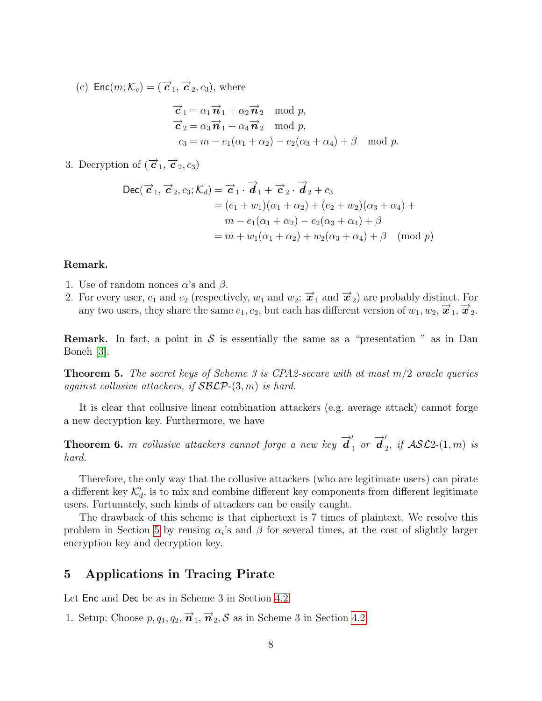(c)  $\textsf{Enc}(m; \mathcal{K}_e) = (\vec{c}_1, \vec{c}_2, c_3)$ , where

$$
\overrightarrow{c}_1 = \alpha_1 \overrightarrow{n}_1 + \alpha_2 \overrightarrow{n}_2 \mod p,
$$
  
\n
$$
\overrightarrow{c}_2 = \alpha_3 \overrightarrow{n}_1 + \alpha_4 \overrightarrow{n}_2 \mod p,
$$
  
\n
$$
c_3 = m - e_1(\alpha_1 + \alpha_2) - e_2(\alpha_3 + \alpha_4) + \beta \mod p.
$$

3. Decryption of  $(\overrightarrow{c}_1, \overrightarrow{c}_2, c_3)$ 

$$
\begin{aligned} \text{Dec}(\overrightarrow{c}_1, \overrightarrow{c}_2, c_3; \mathcal{K}_d) &= \overrightarrow{c}_1 \cdot \overrightarrow{d}_1 + \overrightarrow{c}_2 \cdot \overrightarrow{d}_2 + c_3 \\ &= (e_1 + w_1)(\alpha_1 + \alpha_2) + (e_2 + w_2)(\alpha_3 + \alpha_4) + \\ &= m - e_1(\alpha_1 + \alpha_2) - e_2(\alpha_3 + \alpha_4) + \beta \\ &= m + w_1(\alpha_1 + \alpha_2) + w_2(\alpha_3 + \alpha_4) + \beta \pmod{p} \end{aligned}
$$

#### Remark.

- 1. Use of random nonces  $\alpha$ 's and  $\beta$ .
- 2. For every user,  $e_1$  and  $e_2$  (respectively,  $w_1$  and  $w_2$ ;  $\vec{x}_1$  and  $\vec{x}_2$ ) are probably distinct. For any two users, they share the same  $e_1, e_2$ , but each has different version of  $w_1, w_2, \vec{x}_1, \vec{x}_2$ .

**Remark.** In fact, a point in S is essentially the same as a "presentation" as in Dan Boneh [\[3\]](#page-8-2).

**Theorem 5.** The secret keys of Scheme 3 is CPA2-secure with at most  $m/2$  oracle queries against collusive attackers, if  $S\mathcal{BLP}-(3, m)$  is hard.

It is clear that collusive linear combination attackers (e.g. average attack) cannot forge a new decryption key. Furthermore, we have

**Theorem 6.** m collusive attackers cannot forge a new key  $\overrightarrow{d}_1$  or  $\overrightarrow{d}_2$  $_2$ , if  $\mathcal{ASL}2$ - $(1, m)$  is hard.

Therefore, the only way that the collusive attackers (who are legitimate users) can pirate a different key  $\mathcal{K}'_d$ , is to mix and combine different key components from different legitimate users. Fortunately, such kinds of attackers can be easily caught.

The drawback of this scheme is that ciphertext is 7 times of plaintext. We resolve this problem in Section [5](#page-7-0) by reusing  $\alpha_i$ 's and  $\beta$  for several times, at the cost of slightly larger encryption key and decryption key.

## <span id="page-7-0"></span>5 Applications in Tracing Pirate

Let Enc and Dec be as in Scheme 3 in Section [4.2.](#page-6-0)

1. Setup: Choose  $p, q_1, q_2, \vec{\boldsymbol{n}}_1, \vec{\boldsymbol{n}}_2, \mathcal{S}$  as in Scheme 3 in Section [4.2.](#page-6-0)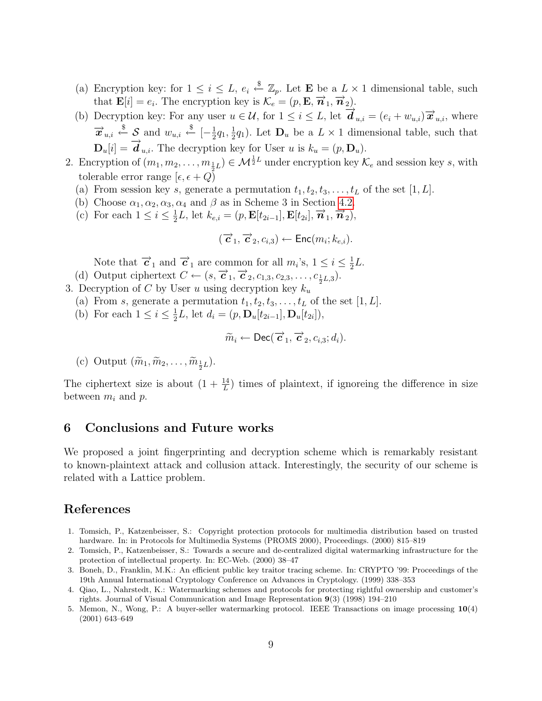- (a) Encryption key: for  $1 \leq i \leq L$ ,  $e_i \stackrel{\$}{\leftarrow} \mathbb{Z}_p$ . Let **E** be a  $L \times 1$  dimensional table, such that  $\mathbf{E}[i] = e_i$ . The encryption key is  $\mathcal{K}_e = (p, \mathbf{E}, \overrightarrow{n}_1, \overrightarrow{n}_2)$ .
- (b) Decryption key: For any user  $u \in \mathcal{U}$ , for  $1 \leq i \leq L$ , let  $\overrightarrow{d}_{u,i} = (e_i + w_{u,i}) \overrightarrow{x}_{u,i}$ , where  $\overrightarrow{x}_{u,i} \stackrel{\$}{\leftarrow} \mathcal{S}$  and  $w_{u,i} \stackrel{\$}{\leftarrow} [-\frac{1}{2}]$  $\frac{1}{2}q_1, \frac{1}{2}$  $\frac{1}{2}q_1$ ). Let  $\mathbf{D}_u$  be a  $L \times 1$  dimensional table, such that  $\mathbf{D}_u[i] = \overrightarrow{\boldsymbol{d}}_{u,i}$ . The decryption key for User u is  $k_u = (p, \mathbf{D}_u)$ .
- 2. Encryption of  $(m_1, m_2, \ldots, m_{\frac{1}{2}L}) \in \mathcal{M}^{\frac{1}{2}L}$  under encryption key  $\mathcal{K}_e$  and session key s, with tolerable error range  $[\epsilon, \epsilon + Q]$ 
	- (a) From session key s, generate a permutation  $t_1, t_2, t_3, \ldots, t_L$  of the set [1, L].
	- (b) Choose  $\alpha_1, \alpha_2, \alpha_3, \alpha_4$  and  $\beta$  as in Scheme 3 in Section [4.2.](#page-6-0)
	- (c) For each  $1 \leq i \leq \frac{1}{2}$  $\frac{1}{2}L$ , let  $k_{e,i} = (p, \mathbf{E}[t_{2i-1}], \mathbf{E}[t_{2i}], \vec{n}_1, \vec{n}_2),$

$$
(\overrightarrow{c}_1, \overrightarrow{c}_2, c_{i,3}) \leftarrow \text{Enc}(m_i; k_{e,i}).
$$

Note that  $\vec{c}_1$  and  $\vec{c}_1$  are common for all  $m_i$ 's,  $1 \leq i \leq \frac{1}{2}$  $rac{1}{2}L$ .

- (d) Output ciphertext  $C \leftarrow (s, \vec{c}_1, \vec{c}_2, c_{1,3}, c_{2,3}, \ldots, c_{\frac{1}{2}L,3}).$
- 3. Decryption of C by User u using decryption key  $k_u$ 
	- (a) From s, generate a permutation  $t_1, t_2, t_3, \ldots, t_L$  of the set [1, L].
	- (b) For each  $1 \leq i \leq \frac{1}{2}$  $\frac{1}{2}L$ , let  $d_i = (p, \mathbf{D}_u[t_{2i-1}], \mathbf{D}_u[t_{2i}]),$

$$
\widetilde{m}_i \leftarrow \mathsf{Dec}(\overrightarrow{c}_1, \overrightarrow{c}_2, c_{i,3}; d_i).
$$

(c) Output  $(\widetilde{m}_1, \widetilde{m}_2, \ldots, \widetilde{m}_{\frac{1}{2}L}).$ 

The ciphertext size is about  $(1 + \frac{14}{L})$  times of plaintext, if ignoreing the difference in size between  $m_i$  and  $p$ .

## 6 Conclusions and Future works

We proposed a joint fingerprinting and decryption scheme which is remarkably resistant to known-plaintext attack and collusion attack. Interestingly, the security of our scheme is related with a Lattice problem.

## References

- <span id="page-8-0"></span>1. Tomsich, P., Katzenbeisser, S.: Copyright protection protocols for multimedia distribution based on trusted hardware. In: in Protocols for Multimedia Systems (PROMS 2000), Proceedings. (2000) 815–819
- <span id="page-8-1"></span>2. Tomsich, P., Katzenbeisser, S.: Towards a secure and de-centralized digital watermarking infrastructure for the protection of intellectual property. In: EC-Web. (2000) 38–47
- <span id="page-8-2"></span>3. Boneh, D., Franklin, M.K.: An efficient public key traitor tracing scheme. In: CRYPTO '99: Proceedings of the 19th Annual International Cryptology Conference on Advances in Cryptology. (1999) 338–353
- <span id="page-8-3"></span>4. Qiao, L., Nahrstedt, K.: Watermarking schemes and protocols for protecting rightful ownership and customer's rights. Journal of Visual Communication and Image Representation 9(3) (1998) 194–210
- <span id="page-8-4"></span>5. Memon, N., Wong, P.: A buyer-seller watermarking protocol. IEEE Transactions on image processing 10(4) (2001) 643–649